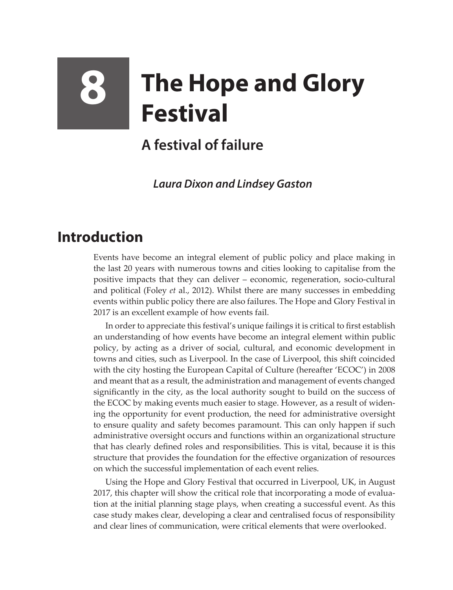## **8 The Hope and Glory Festival**

## **A festival of failure**

*Laura Dixon and Lindsey Gaston*

## **Introduction**

Events have become an integral element of public policy and place making in the last 20 years with numerous towns and cities looking to capitalise from the positive impacts that they can deliver – economic, regeneration, socio-cultural and political (Foley *et* al., 2012). Whilst there are many successes in embedding events within public policy there are also failures. The Hope and Glory Festival in 2017 is an excellent example of how events fail.

In order to appreciate this festival's unique failings it is critical to first establish an understanding of how events have become an integral element within public policy, by acting as a driver of social, cultural, and economic development in towns and cities, such as Liverpool. In the case of Liverpool, this shift coincided with the city hosting the European Capital of Culture (hereafter 'ECOC') in 2008 and meant that as a result, the administration and management of events changed significantly in the city, as the local authority sought to build on the success of the ECOC by making events much easier to stage. However, as a result of widening the opportunity for event production, the need for administrative oversight to ensure quality and safety becomes paramount. This can only happen if such administrative oversight occurs and functions within an organizational structure that has clearly defined roles and responsibilities. This is vital, because it is this structure that provides the foundation for the effective organization of resources on which the successful implementation of each event relies.

Using the Hope and Glory Festival that occurred in Liverpool, UK, in August 2017, this chapter will show the critical role that incorporating a mode of evaluation at the initial planning stage plays, when creating a successful event. As this case study makes clear, developing a clear and centralised focus of responsibility and clear lines of communication, were critical elements that were overlooked.